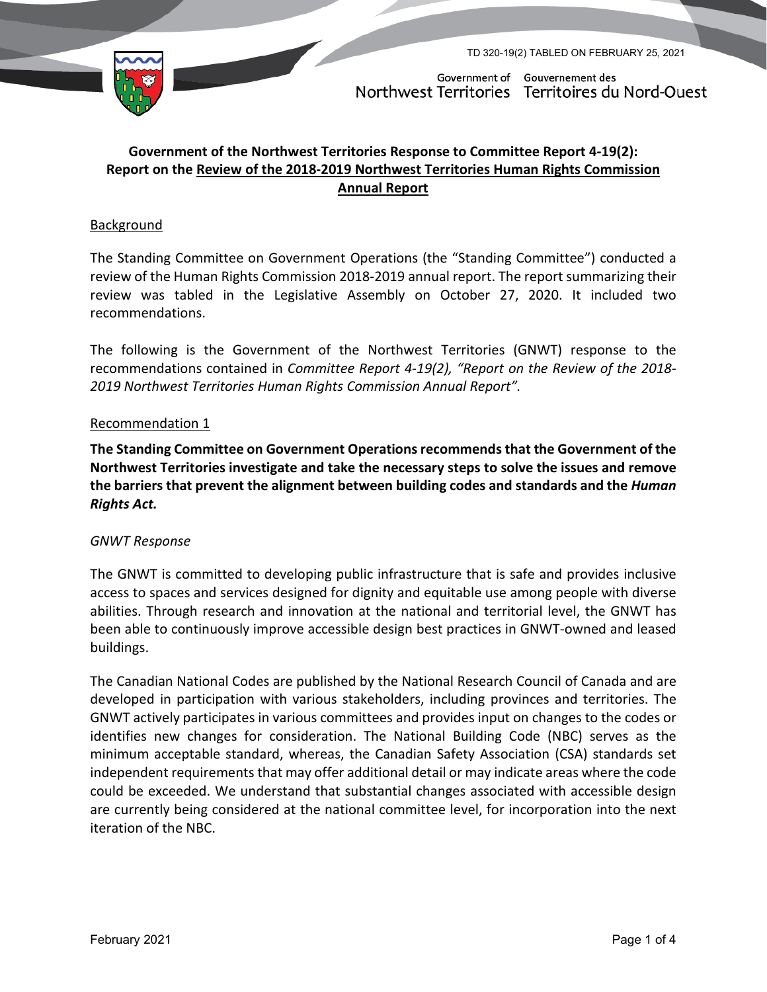

TD 320-19(2) TABLED ON FEBRUARY 25, 2021

Government of Gouvernement des Northwest Territories Territoires du Nord-Ouest

# **Government of the Northwest Territories Response to Committee Report 4-19(2): Report on the Review of the 2018-2019 Northwest Territories Human Rights Commission Annual Report**

### Background

The Standing Committee on Government Operations (the "Standing Committee") conducted a review of the Human Rights Commission 2018-2019 annual report. The report summarizing their review was tabled in the Legislative Assembly on October 27, 2020. It included two recommendations.

The following is the Government of the Northwest Territories (GNWT) response to the recommendations contained in *Committee Report 4-19(2), "Report on the Review of the 2018- 2019 Northwest Territories Human Rights Commission Annual Report".*

#### Recommendation 1

**The Standing Committee on Government Operations recommends that the Government of the Northwest Territories investigate and take the necessary steps to solve the issues and remove the barriers that prevent the alignment between building codes and standards and the** *Human Rights Act.* 

#### *GNWT Response*

The GNWT is committed to developing public infrastructure that is safe and provides inclusive access to spaces and services designed for dignity and equitable use among people with diverse abilities. Through research and innovation at the national and territorial level, the GNWT has been able to continuously improve accessible design best practices in GNWT-owned and leased buildings.

The Canadian National Codes are published by the National Research Council of Canada and are developed in participation with various stakeholders, including provinces and territories. The GNWT actively participates in various committees and provides input on changes to the codes or identifies new changes for consideration. The National Building Code (NBC) serves as the minimum acceptable standard, whereas, the Canadian Safety Association (CSA) standards set independent requirements that may offer additional detail or may indicate areas where the code could be exceeded. We understand that substantial changes associated with accessible design are currently being considered at the national committee level, for incorporation into the next iteration of the NBC.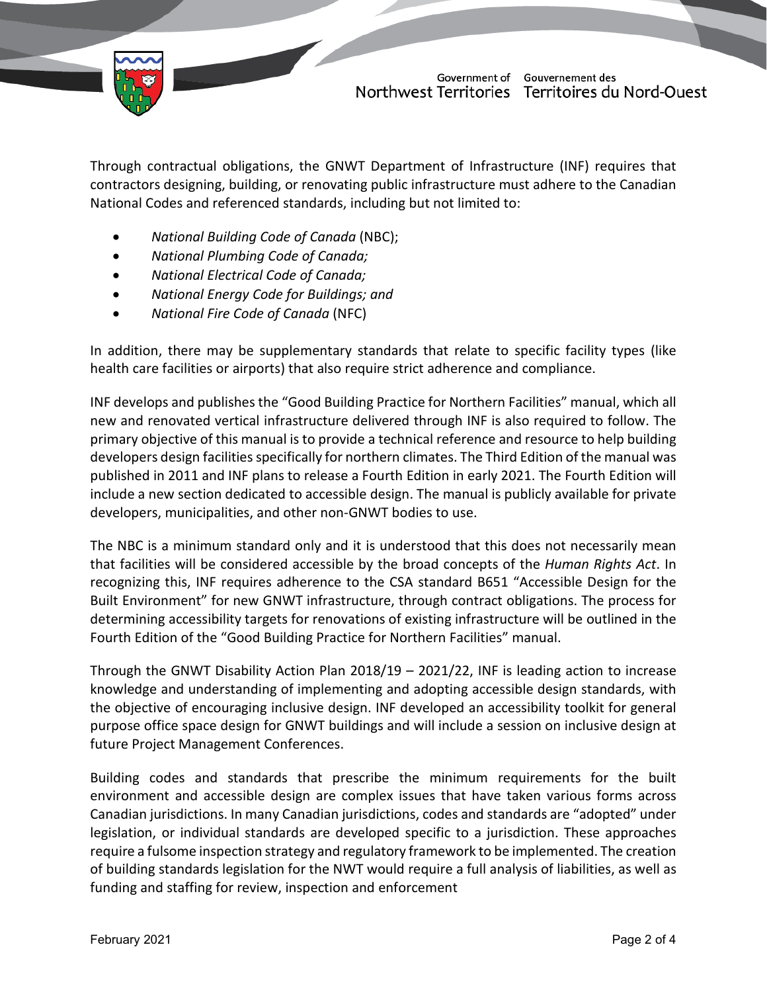

Government of Gouvernement des Northwest Territories Territoires du Nord-Ouest

Through contractual obligations, the GNWT Department of Infrastructure (INF) requires that contractors designing, building, or renovating public infrastructure must adhere to the Canadian National Codes and referenced standards, including but not limited to:

- *National Building Code of Canada* (NBC);
- *National Plumbing Code of Canada;*
- *National Electrical Code of Canada;*
- *National Energy Code for Buildings; and*
- *National Fire Code of Canada* (NFC)

In addition, there may be supplementary standards that relate to specific facility types (like health care facilities or airports) that also require strict adherence and compliance.

INF develops and publishes the "Good Building Practice for Northern Facilities" manual, which all new and renovated vertical infrastructure delivered through INF is also required to follow. The primary objective of this manual is to provide a technical reference and resource to help building developers design facilities specifically for northern climates. The Third Edition of the manual was published in 2011 and INF plans to release a Fourth Edition in early 2021. The Fourth Edition will include a new section dedicated to accessible design. The manual is publicly available for private developers, municipalities, and other non-GNWT bodies to use.

The NBC is a minimum standard only and it is understood that this does not necessarily mean that facilities will be considered accessible by the broad concepts of the *Human Rights Act*. In recognizing this, INF requires adherence to the CSA standard B651 "Accessible Design for the Built Environment" for new GNWT infrastructure, through contract obligations. The process for determining accessibility targets for renovations of existing infrastructure will be outlined in the Fourth Edition of the "Good Building Practice for Northern Facilities" manual.

Through the GNWT Disability Action Plan 2018/19 – 2021/22, INF is leading action to increase knowledge and understanding of implementing and adopting accessible design standards, with the objective of encouraging inclusive design. INF developed an accessibility toolkit for general purpose office space design for GNWT buildings and will include a session on inclusive design at future Project Management Conferences.

Building codes and standards that prescribe the minimum requirements for the built environment and accessible design are complex issues that have taken various forms across Canadian jurisdictions. In many Canadian jurisdictions, codes and standards are "adopted" under legislation, or individual standards are developed specific to a jurisdiction. These approaches require a fulsome inspection strategy and regulatory framework to be implemented. The creation of building standards legislation for the NWT would require a full analysis of liabilities, as well as funding and staffing for review, inspection and enforcement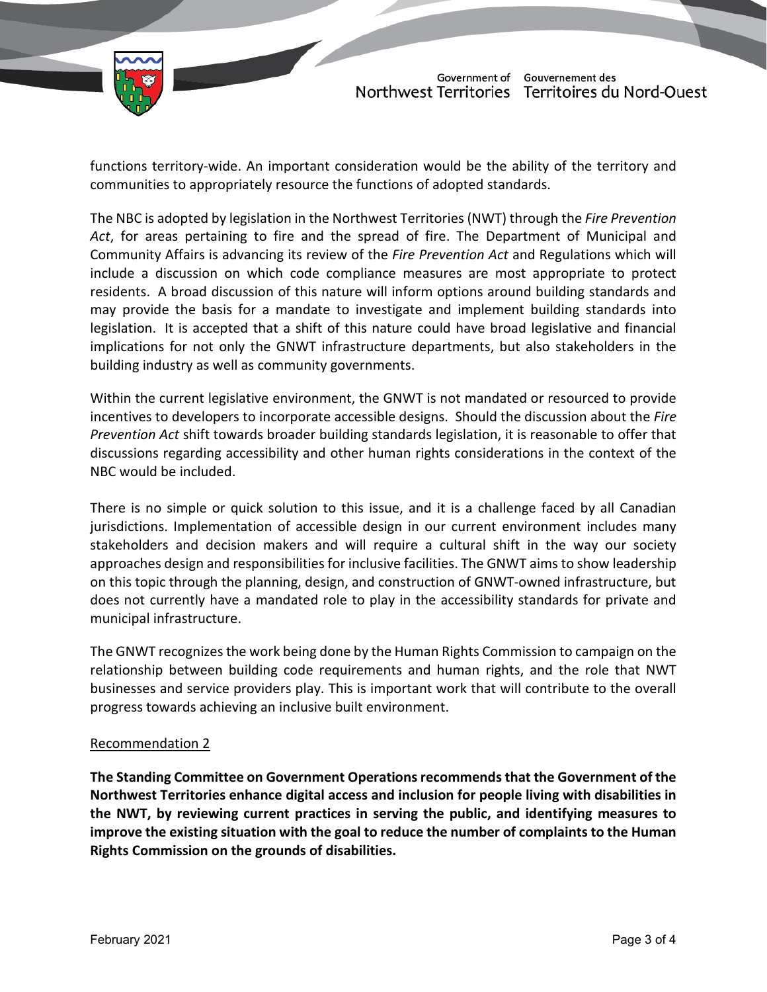

functions territory-wide. An important consideration would be the ability of the territory and communities to appropriately resource the functions of adopted standards.

The NBC is adopted by legislation in the Northwest Territories (NWT) through the *Fire Prevention Act*, for areas pertaining to fire and the spread of fire. The Department of Municipal and Community Affairs is advancing its review of the *Fire Prevention Act* and Regulations which will include a discussion on which code compliance measures are most appropriate to protect residents. A broad discussion of this nature will inform options around building standards and may provide the basis for a mandate to investigate and implement building standards into legislation. It is accepted that a shift of this nature could have broad legislative and financial implications for not only the GNWT infrastructure departments, but also stakeholders in the building industry as well as community governments.

Within the current legislative environment, the GNWT is not mandated or resourced to provide incentives to developers to incorporate accessible designs. Should the discussion about the *Fire Prevention Act* shift towards broader building standards legislation, it is reasonable to offer that discussions regarding accessibility and other human rights considerations in the context of the NBC would be included.

There is no simple or quick solution to this issue, and it is a challenge faced by all Canadian jurisdictions. Implementation of accessible design in our current environment includes many stakeholders and decision makers and will require a cultural shift in the way our society approaches design and responsibilities for inclusive facilities. The GNWT aims to show leadership on this topic through the planning, design, and construction of GNWT-owned infrastructure, but does not currently have a mandated role to play in the accessibility standards for private and municipal infrastructure.

The GNWT recognizes the work being done by the Human Rights Commission to campaign on the relationship between building code requirements and human rights, and the role that NWT businesses and service providers play. This is important work that will contribute to the overall progress towards achieving an inclusive built environment.

## Recommendation 2

**The Standing Committee on Government Operations recommends that the Government of the Northwest Territories enhance digital access and inclusion for people living with disabilities in the NWT, by reviewing current practices in serving the public, and identifying measures to improve the existing situation with the goal to reduce the number of complaints to the Human Rights Commission on the grounds of disabilities.**